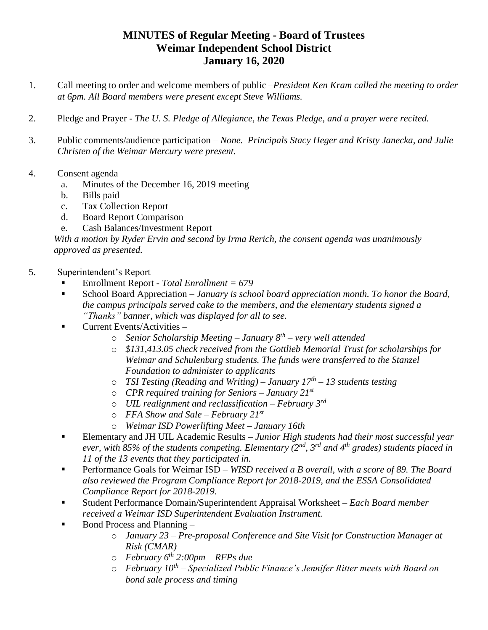## **MINUTES of Regular Meeting - Board of Trustees Weimar Independent School District January 16, 2020**

- 1. Call meeting to order and welcome members of public –*President Ken Kram called the meeting to order at 6pm. All Board members were present except Steve Williams.*
- 2. Pledge and Prayer *The U. S. Pledge of Allegiance, the Texas Pledge, and a prayer were recited.*
- 3. Public comments/audience participation *None. Principals Stacy Heger and Kristy Janecka, and Julie Christen of the Weimar Mercury were present.*
- 4. Consent agenda
	- a. Minutes of the December 16, 2019 meeting
	- b. Bills paid
	- c. Tax Collection Report
	- d. Board Report Comparison
	- e. Cash Balances/Investment Report

*With a motion by Ryder Ervin and second by Irma Rerich, the consent agenda was unanimously approved as presented.*

- 5. Superintendent's Report
	- Enrollment Report *- Total Enrollment = 679*
	- School Board Appreciation  *January is school board appreciation month. To honor the Board, the campus principals served cake to the members, and the elementary students signed a "Thanks" banner, which was displayed for all to see.*
	- $\blacksquare$  Current Events/Activities
		- o *Senior Scholarship Meeting – January 8th – very well attended*
		- o *\$131,413.05 check received from the Gottlieb Memorial Trust for scholarships for Weimar and Schulenburg students. The funds were transferred to the Stanzel Foundation to administer to applicants*
		- o *TSI Testing (Reading and Writing) – January 17th – 13 students testing*
		- o *CPR required training for Seniors – January 21st*
		- o *UIL realignment and reclassification – February 3rd*
		- o *FFA Show and Sale – February 21st*
		- o *Weimar ISD Powerlifting Meet – January 16th*
	- Elementary and JH UIL Academic Results *Junior High students had their most successful year ever, with 85% of the students competing. Elementary (2nd, 3rd and 4th grades) students placed in 11 of the 13 events that they participated in.*
	- Performance Goals for Weimar ISD *WISD received a B overall, with a score of 89. The Board also reviewed the Program Compliance Report for 2018-2019, and the ESSA Consolidated Compliance Report for 2018-2019.*
	- Student Performance Domain/Superintendent Appraisal Worksheet *Each Board member received a Weimar ISD Superintendent Evaluation Instrument.*
	- Bond Process and Planning
		- o *January 23 – Pre-proposal Conference and Site Visit for Construction Manager at Risk (CMAR)*
		- o *February 6th 2:00pm – RFPs due*
		- o *February 10th – Specialized Public Finance's Jennifer Ritter meets with Board on bond sale process and timing*